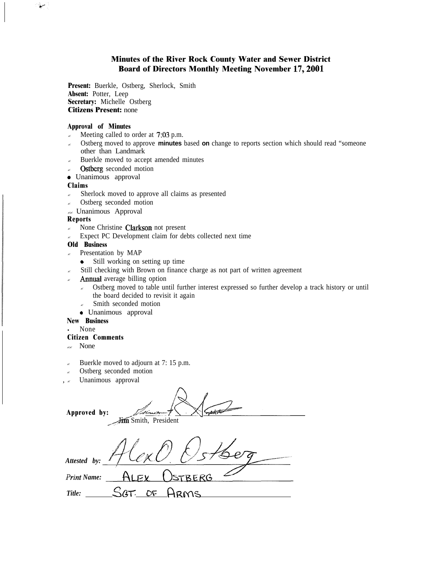## **Minutes of the River Rock County Water and Sewer District Board of Directors Monthly Meeting November 17,200l**

**Present:** Buerkle, Ostberg, Sherlock, Smith **Absent:** Potter, Leep **Secretary:** Michelle Ostberg **Citizens Present:** none

### **Approval of Minutes**

- $\epsilon$  Meeting called to order at 7,03 p.m.
- ? Ostberg moved to approve **minutes** based **on** change to reports section which should read "someone other than Landmark
- Buerkle moved to accept amended minutes
- Ostberg seconded motion
- 0 Unanimous approval

### **Claims**

سيغ

- $\epsilon$  Sherlock moved to approve all claims as presented
- Ostberg seconded motion
- ?? Unanimous Approval

### **Reports**

- $\epsilon$  None Christine Clarkson not present
- ? Expect PC Development claim for debts collected next time

## **Old Business**

- $\approx$  Presentation by MAP
	- Still working on setting up time
- Still checking with Brown on finance charge as not part of written agreement
- Annual average billing option
	- $\epsilon$  Ostberg moved to table until further interest expressed so further develop a track history or until the board decided to revisit it again
	- Smith seconded motion
	- 0 Unanimous approval

### **New Business**

**.** None

### **Citizen Comments**

- $\sim$  None
- Buerkle moved to adjourn at 7: 15 p.m.
- Ostberg seconded motion
- Unanimous approval

**Approved by:** Jim Smith, President *Attested by:*  $A_1$ *Print Name: Title: s&Y OI: Rams*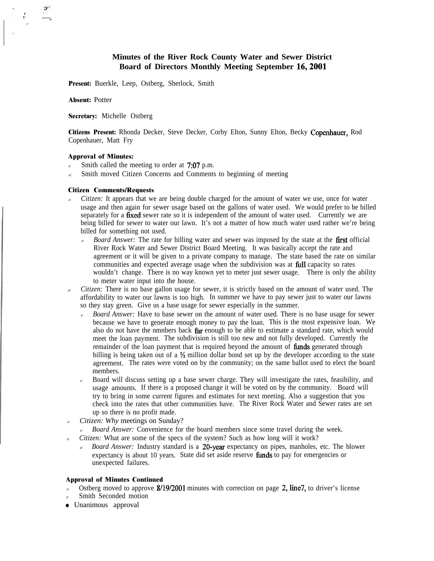## **Minutes of the River Rock County Water and Sewer District Board of Directors Monthly Meeting September 16,200l**

**Present:** Buerkle, Leep, Ostberg, Sherlock, Smith

**Absent:** Potter

**Secretary:** Michelle Ostberg

**Citizens Present:** Rhonda Decker, Steve Decker, Corby Elton, Sunny Elton, Becky Copcnhaucr, Rod Copenhauer, Matt Fry

#### **Approval of Minutes:**

- Smith called the meeting to order at 7:07 p.m.
- $\epsilon$  Smith moved Citizen Concerns and Comments to beginning of meeting

#### **Citizen Comments/Requests**

- *Citizen:* It appears that we are being double charged for the amount of water we use, once for water usage and then again for sewer usage based on the gallons of water used. We would prefer to be billed separately for a fixed sewer rate so it is independent of the amount of water used. Currently we are being billed for sewer to water our lawn. It's not a matter of how much water used rather we're being billed for something not used.
	- ? *Board Answer:* The rate for billing water and sewer was imposed by the state at the first official River Rock Water and Sewer District Board Meeting. It was basically accept the rate and agreement or it will be given to a private company to manage. The state based the rate on similar communities and expected average usage when the subdivision was at full capacity so rates wouldn't change. There is no way known yet to meter just sewer usage. There is only the ability to meter water input into the house.
- ? *Citizen:* There is no base gallon usage for sewer, it is strictly based on the amount of water used. The affordability to water our lawns is too high. In summer we have to pay sewer just to water our lawns so they stay green. Give us a base usage for sewer especially in the summer.
	- ? *Board Answer:* Have to base sewer on the amount of water used. There is no base usage for sewer because we have to generate enough money to pay the loan. This is the most expensive loan. We also do not have the nmnbers back far enough to be able to estimate a standard rate, which would meet the loan payment. The subdivision is still too new and not fully developed. Currently the remainder of the loan payment that is required beyond the amount of **funds** generated through billing is being taken out of a  $\frac{1}{2}$  million dollar bond set up by the developer according to the state agreement. The rates were voted on by the community; on the same ballot used to elect the board members.
	- ? Board will discuss setting up a base sewer charge. They will investigate the rates, feasibility, and usage amounts. If there is a proposed change it will be voted on by the community. Board will try to bring in some current figures and estimates for next meeting. Also a suggestion that you check into the rates that other communities have. The River Rock Water and Sewer rates are set up so there is no profit made.
- ? *Citizen: Why* meetings on Sunday?
	- ? *Board Answer:* Convenience for the board members since some travel during the week.
- ? *Citizen:* What are some of the specs of the system? Such as how long will it work?
	- *Board Answer:* Industry standard is a 20-year expectancy on pipes, manholes, etc. The blower expectancy is about 10 years. State did set aside reserve fimds to pay for emergencies or unexpected failures.

#### **Approval of Minutes Continued**

- Ostberg moved to approve  $\frac{8}{19/2001}$  minutes with correction on page 2, line7, to driver's license
- Smith Seconded motion
- 0 Unanimous approval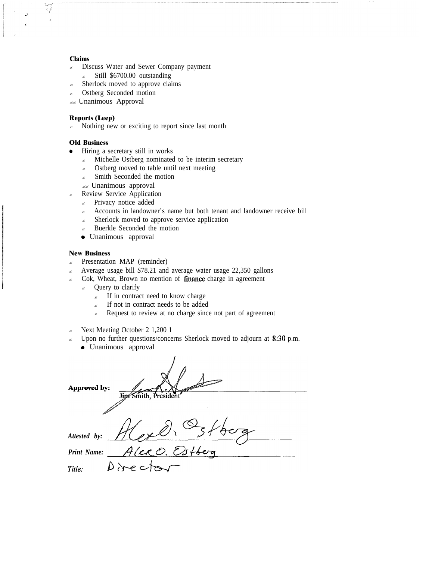#### **Claims**

- $\approx$  Discuss Water and Sewer Company payment
- $\epsilon$  Still \$6700.00 outstanding
- $\approx$  Sherlock moved to approve claims
- Ostberg Seconded motion
- $\ll$  Unanimous Approval

### **Reports (Leep)**

 $\sim$  Nothing new or exciting to report since last month

### **Old Business**

- Hiring a secretary still in works
	- $\epsilon$  Michelle Ostberg nominated to be interim secretary
	- $\approx$  Ostberg moved to table until next meeting
	- $\approx$  Smith Seconded the motion
	- ?? Unanimous approval
- Review Service Application
	- $\epsilon$  Privacy notice added
	- $\epsilon$  Accounts in landowner's name but both tenant and landowner receive bill
	- Sherlock moved to approve service application
	- $\approx$  Buerkle Seconded the motion
	- 0 Unanimous approval

### **New Business**

- $\epsilon$  Presentation MAP (reminder)
- ? Average usage bill \$78.21 and average water usage 22,350 gallons
- $\epsilon$  Cok, Wheat, Brown no mention of finance charge in agreement
	- $\epsilon$  Query to clarify
		- $\epsilon$  If in contract need to know charge
		- $\epsilon$  If not in contract needs to be added
		- $\epsilon$  Request to review at no charge since not part of agreement
- $\approx$  Next Meeting October 2 1,200 1
- $\approx$  Upon no further questions/concerns Sherlock moved to adjourn at 8:30 p.m.
	- 0 Unanimous approval

| Approved by: | Jipf Smith, President |
|--------------|-----------------------|
| Attested by: |                       |
| Print Name:  | AlerO. Es             |
| Title:       | Direct                |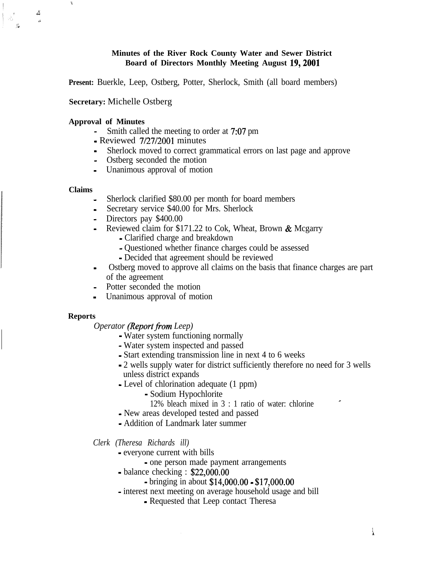## **Minutes of the River Rock County Water and Sewer District Board of Directors Monthly Meeting August 19,200l**

**Present:** Buerkle, Leep, Ostberg, Potter, Sherlock, Smith (all board members)

## **Secretary:** Michelle Ostberg

### **Approval of Minutes**

- Smith called the meeting to order at 7:07 pm
- Reviewed 7/27/2001 minutes
- Sherlock moved to correct grammatical errors on last page and approve
- Ostberg seconded the motion
- Unanimous approval of motion

### **Claims**

I

 $\Delta$ &i

- Sherlock clarified \$80.00 per month for board members
- Secretary service \$40.00 for Mrs. Sherlock
- Directors pay \$400.00
- Reviewed claim for \$171.22 to Cok, Wheat, Brown  $&$  Mcgarry
	- Clarified charge and breakdown
	- Questioned whether finance charges could be assessed
	- Decided that agreement should be reviewed
- Ostberg moved to approve all claims on the basis that finance charges are part of the agreement
- Potter seconded the motion
- Unanimous approval of motion

### **Reports**

*Operator (Report from Leep)* 

- Water system functioning normally
- Water system inspected and passed
- Start extending transmission line in next 4 to 6 weeks
- 2 wells supply water for district sufficiently therefore no need for 3 wells unless district expands
- Level of chlorination adequate (1 ppm)
	- Sodium Hypochlorite
	- 12% bleach mixed in  $3:1$  ratio of water: chlorine
- New areas developed tested and passed
- Addition of Landmark later summer

### *Clerk (Theresa Richards ill)*

- everyone current with bills
	- one person made payment arrangements
- balance checking : \$22,000.00
	- bringing in about \$14,000.00 \$17,000.00
- interest next meeting on average household usage and bill
	- Requested that Leep contact Theresa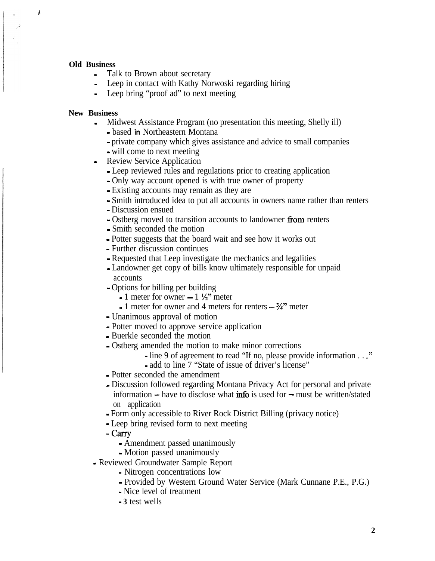### **Old Business**

 $\mathbf{r}$ 

- Talk to Brown about secretary
- Leep in contact with Kathy Norwoski regarding hiring
- Leep bring "proof ad" to next meeting

## **New Business**

- Midwest Assistance Program (no presentation this meeting, Shelly ill)
	- based **in** Northeastern Montana
	- private company which gives assistance and advice to small companies - will come to next meeting
- Review Service Application
	- Leep reviewed rules and regulations prior to creating application
	- Only way account opened is with true owner of property
	- Existing accounts may remain as they are
	- Smith introduced idea to put all accounts in owners name rather than renters
	- Discussion ensued
	- Ostberg moved to transition accounts to landowner from renters
	- Smith seconded the motion
	- Potter suggests that the board wait and see how it works out
	- Further discussion continues
	- Requested that Leep investigate the mechanics and legalities
	- Landowner get copy of bills know ultimately responsible for unpaid accounts
	- Options for billing per building
		- $-1$  meter for owner  $-1\frac{1}{2}$ " meter
		- $-1$  meter for owner and 4 meters for renters  $-3/4$ " meter
	- Unanimous approval of motion
	- Potter moved to approve service application
	- Buerkle seconded the motion
	- Ostberg amended the motion to make minor corrections
		- line 9 of agreement to read "If no, please provide information . . ."
		- add to line 7 "State of issue of driver's license"
	- Potter seconded the amendment
	- Discussion followed regarding Montana Privacy Act for personal and private information  $-$  have to disclose what info is used for  $-$  must be written/stated on application
	- Form only accessible to River Rock District Billing (privacy notice)
	- Leep bring revised form to next meeting
	- Carry
		- Amendment passed unanimously
		- Motion passed unanimously
- Reviewed Groundwater Sample Report
	- Nitrogen concentrations low
	- Provided by Western Ground Water Service (Mark Cunnane P.E., P.G.)
	- Nice level of treatment
	- **3** test wells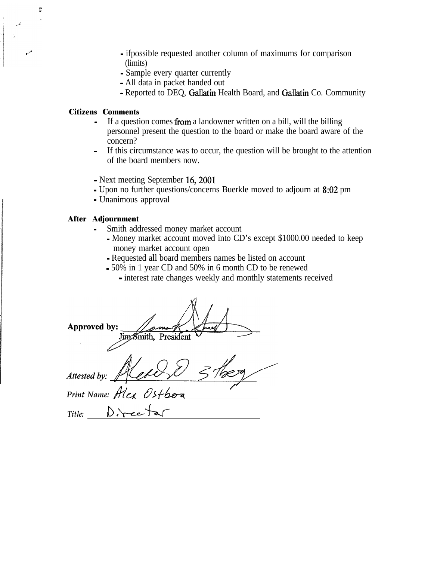- ifpossible requested another column of maximums for comparison (limits)
- Sample every quarter currently
- All data in packet handed out
- Reported to DEQ, Gallatin Health Board, and Gallatin Co. Community

# **Citizens Comments**

ÿ.

- If a question comes from a landowner written on a bill, will the billing personnel present the question to the board or make the board aware of the concern?
- If this circumstance was to occur, the question will be brought to the attention of the board members now.
- Next meeting September 16,200l
- Upon no further questions/concerns Buerkle moved to adjourn at 8:02 pm
- Unanimous approval

## **After Adjournment**

- Smith addressed money market account
	- Money market account moved into CD's except \$1000.00 needed to keep money market account open
	- Requested all board members names be listed on account
	- 50% in 1 year CD and 50% in 6 month CD to be renewed
		- interest rate changes weekly and monthly statements received

Approved by: Jim Smith, President Attested by Plex 0stboa<u></u> *Print Name: Title: J&-C--k*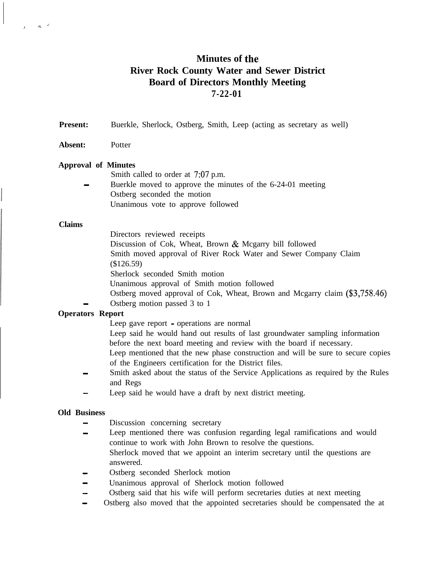# **Minutes of the River Rock County Water and Sewer District Board of Directors Monthly Meeting 7-22-01**

**Present:** Buerkle, Sherlock, Ostberg, Smith, Leep (acting as secretary as well)

**Absent:** Potter

### **Approval of Minutes**

Smith called to order at 7:07 p.m.

Buerkle moved to approve the minutes of the 6-24-01 meeting Ostberg seconded the motion Unanimous vote to approve followed

### **Claims**

^.

 $\mathbf{1}_{4}$ 

Directors reviewed receipts

Discussion of Cok, Wheat, Brown & Mcgarry bill followed

Smith moved approval of River Rock Water and Sewer Company Claim

(\$126.59)

Sherlock seconded Smith motion

Unanimous approval of Smith motion followed

- Ostberg moved approval of Cok, Wheat, Brown and Mcgarry claim (\$3,758.46)
- Ostberg motion passed 3 to 1

## **Operators Report**

- Leep gave report operations are normal Leep said he would hand out results of last groundwater sampling information before the next board meeting and review with the board if necessary. Leep mentioned that the new phase construction and will be sure to secure copies
- of the Engineers certification for the District files.
- Smith asked about the status of the Service Applications as required by the Rules and Regs
- Leep said he would have a draft by next district meeting.

### **Old Business**

- Discussion concerning secretary
- Leep mentioned there was confusion regarding legal ramifications and would continue to work with John Brown to resolve the questions. Sherlock moved that we appoint an interim secretary until the questions are answered.
- Ostberg seconded Sherlock motion
- Unanimous approval of Sherlock motion followed
- Ostberg said that his wife will perform secretaries duties at next meeting
- Ostberg also moved that the appointed secretaries should be compensated the at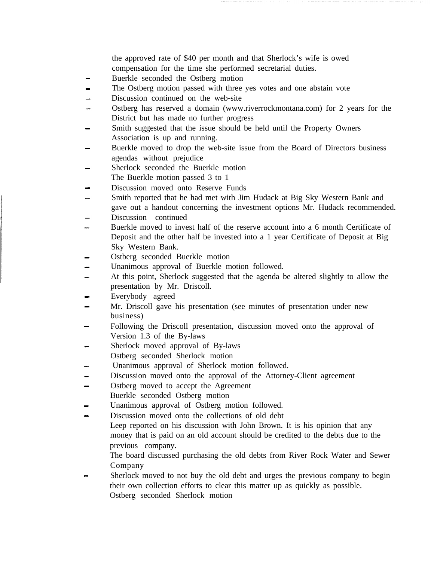the approved rate of \$40 per month and that Sherlock's wife is owed compensation for the time she performed secretarial duties.

- Buerkle seconded the Ostberg motion
- The Ostberg motion passed with three yes votes and one abstain vote
- Discussion continued on the web-site
- Ostberg has reserved a domain (www.riverrockmontana.com) for 2 years for the District but has made no further progress
- Smith suggested that the issue should be held until the Property Owners Association is up and running.
- Buerkle moved to drop the web-site issue from the Board of Directors business agendas without prejudice
- Sherlock seconded the Buerkle motion The Buerkle motion passed 3 to 1
- Discussion moved onto Reserve Funds
- Smith reported that he had met with Jim Hudack at Big Sky Western Bank and gave out a handout concerning the investment options Mr. Hudack recommended.
- Discussion continued
- Buerkle moved to invest half of the reserve account into a 6 month Certificate of Deposit and the other half be invested into a 1 year Certificate of Deposit at Big Sky Western Bank.
- Ostberg seconded Buerkle motion
- Unanimous approval of Buerkle motion followed.
- At this point, Sherlock suggested that the agenda be altered slightly to allow the presentation by Mr. Driscoll.
- Everybody agreed
- Mr. Driscoll gave his presentation (see minutes of presentation under new business)
- Following the Driscoll presentation, discussion moved onto the approval of Version 1.3 of the By-laws
- Sherlock moved approval of By-laws Ostberg seconded Sherlock motion
- Unanimous approval of Sherlock motion followed.
- Discussion moved onto the approval of the Attorney-Client agreement
- Ostberg moved to accept the Agreement Buerkle seconded Ostberg motion
- Unanimous approval of Ostberg motion followed.
- Discussion moved onto the collections of old debt
	- Leep reported on his discussion with John Brown. It is his opinion that any money that is paid on an old account should be credited to the debts due to the previous company.

The board discussed purchasing the old debts from River Rock Water and Sewer Company

- Sherlock moved to not buy the old debt and urges the previous company to begin their own collection efforts to clear this matter up as quickly as possible. Ostberg seconded Sherlock motion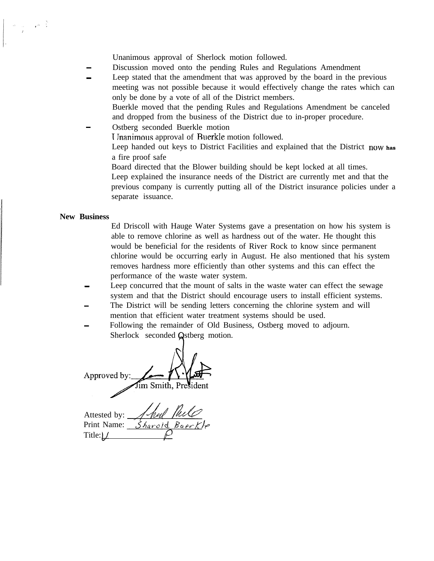Unanimous approval of Sherlock motion followed.

Discussion moved onto the pending Rules and Regulations Amendment

Leep stated that the amendment that was approved by the board in the previous meeting was not possible because it would effectively change the rates which can only be done by a vote of all of the District members.

Buerkle moved that the pending Rules and Regulations Amendment be canceled and dropped from the business of the District due to in-proper procedure.

Ostberg seconded Buerkle motion

<sup>1</sup> Jnanimous approval of Ruerkle motion followed.

Leep handed out keys to District Facilities and explained that the District **now has** a fire proof safe

Board directed that the Blower building should be kept locked at all times. Leep explained the insurance needs of the District are currently met and that the previous company is currently putting all of the District insurance policies under a separate issuance.

### **New Business**

 $\label{eq:2.1} \omega_{\rm c}=-\sqrt{\omega_{\rm c}-\frac{y_{\rm c}}{2}}$ 

Ed Driscoll with Hauge Water Systems gave a presentation on how his system is able to remove chlorine as well as hardness out of the water. He thought this would be beneficial for the residents of River Rock to know since permanent chlorine would be occurring early in August. He also mentioned that his system removes hardness more efficiently than other systems and this can effect the performance of the waste water system.

Leep concurred that the mount of salts in the waste water can effect the sewage system and that the District should encourage users to install efficient systems.

- The District will be sending letters concerning the chlorine system and will mention that efficient water treatment systems should be used.
- Following the remainder of Old Business, Ostberg moved to adjourn. Sherlock seconded Qstberg motion.

Approved by: Jim Smith, President

Attested by: Print Name: Sharold Baer. Title: $\mu$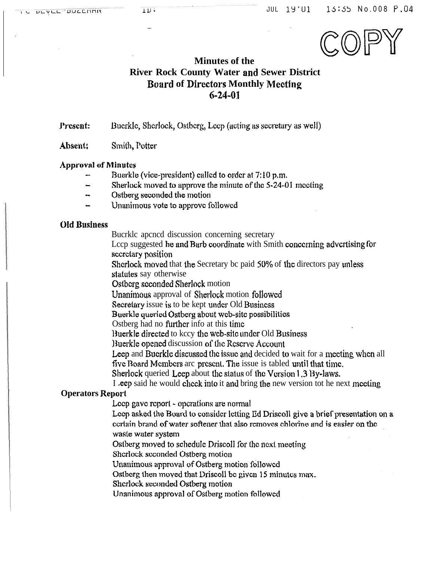

# **Minutes of the River Rock County Water and Sewer District Board of Directors Monthly Meeting**  $6 - 24 - 01$

Present: Bucrkle, Sherlock, Ostberg, Leep (acting as secretary as well)

Absent: Smith, Potter

## **Approval of Minutes**

- Buerkle (vice-president) called to order at 7:10 p.m.
- Sherlock moved to approve the minute of the 5-24-01 meeting
- Ostberg seconded the motion
- Unanimous vote to approve followed

## **Old Business**

Bucrklc apcned discussion concerning secretary

Leep suggested he and Barb coordinate with Smith concerning advertising for secretary position

Sherlock moved that the Secretary bc paid 50% of the directors pay unless statutes say otherwise

Ostberg seconded Sherlock motion

Unanimous approval of Sherlock motion followed

Secretary issue is to be kept under Old Business

Buerkle queried Ostberg about web-site possibilities

Ostberg had no further info at this time

Buerkle directed to kccy the web-site under Old Business

Buerkle opened discussion of the Reserve Account

Leep and Buerkle discussed the issue and decided to wait for a meeting when all

five Board Members arc present. The issue is tabled until that time.

Sherlock queried Leep about the status of the Version 1.3 By-laws.

I eep said he would check into it and bring the new version tot he next meeting

# **Operators Report**

Leep gave report - operations are normal

Leep asked the Board to consider letting Ed Driscoll give a brief presentation on a certain brand of water softener that also removes chlorine and is easier on the

waste water system

Ostberg moved to schedule Driscoll for the next meeting

Sherlock seconded Ostberg motion

Unanimous approval of Ostberg motion followed

Ostberg then moved that Driscoll be given 15 minutes max.

Sherlock seconded Ostberg motion

Unanimous approval of Ostberg motion followed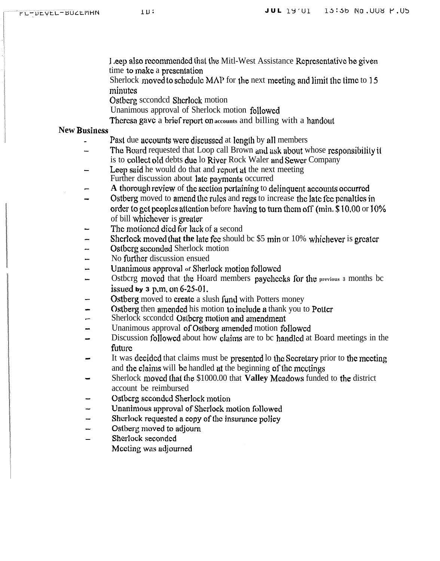Leep also recommended that the Mitl-West Assistance Representative be given time to make a presentation

Sherlock moved to schedule  $MAP$  for the next meeting and limit the time to 15 minutes

Ostberg seconded Sherlock motion

Unanimous approval of Sherlock motion followed

Theresa gave a brief report on accounts and billing with a handout

# **New Business**

- Past due accounts were discussed at length by all members
- The Board requested that Loop call Brown and ask about whose responsibility it is to collect old debts due lo River Rock Waler and Sewer Company
- Leep said he would do that and report at the next meeting Further discussion about late payments occurred
- A thorough review of the section pertaining to delinquent accounts occurred
- Ostberg moved to amend the rules and regs to increase the late fee penalties in order to get peoples attention before having to turn them off (min. \$10.00 or 10%) of bill whichever is greater
- The motioned died for lack of a second
- Sherlock moved that the late fee should be \$5 min or 10% whichever is greater
- Ostberg seconded Sherlock motion
- No further discussion ensued
- Unanimous approval of Sherlock motion followed
- Ostberg moved that the Hoard members paychecks for the previous a months be issued by  $3$  p.m. on  $6-25-01$ .
- Ostberg moved to create a slush fund with Potters money
- Ostberg then amended his motion to include a thank you to Potter
- Sherlock scconded Ostberg motion and amendment
- Unanimous approval of Ostberg amended motion followed
- Discussion followed about how claims are to be handled at Board meetings in the future
- It was decided that claims must be presented to the Secretary prior to the meeting and the claims will be handled at the beginning of the meetings
- Sherlock moved that the \$1000.00 that Valley Meadows funded to the district account be reimbursed
- Ostberg seconded Sherlock motion
- Unanimous approval of Sherlock motion followed
- Sherlock requested a copy of the insurance policy
- Ostberg moved to adjourn  $\overline{ }$
- Sherlock seconded  $\overline{\phantom{0}}$ Moeting was adjourned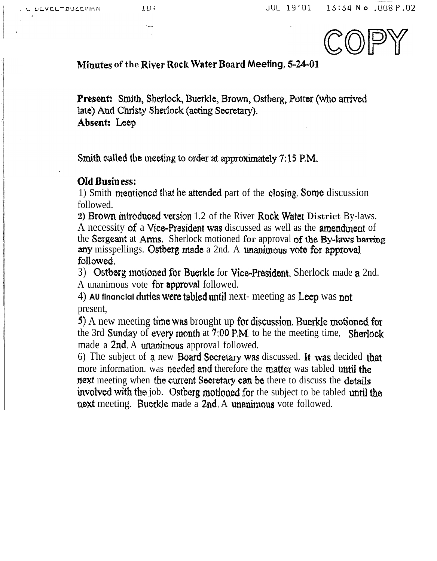**JUL 19'01** 15:54 No .008 P.02



Minutes of the River Rock Water Board Meeting, 5-24-01

Present: Smith, Sherlock, Buerkle, Brown, Ostberg, Potter (who arrived late) And Christy Sherlock (acting Secretary). Absent: Leep

Smith called the meeting to order at approximately 7:15 P.M.

# Old Business:

1) Smith mentioned that he attended part of the closing. Some discussion followed.

2) Brown introduced version 1.2 of the River Rock Water District By-laws. A necessity of a Vice-President was discussed as well as the amendment of the Sergeant at Arms. Sherlock motioned for approval of the By-laws barring any misspellings. Ostberg made a 2nd. A unanimous vote for approval followed.

3) Ostberg motioned for Buerkle for Vice-President. Sherlock made a 2nd. A unanimous vote for approval followed.

4) AU financial duties were tabled until next- meeting as Leep was not present.

5) A new meeting time was brought up for discussion. Buerkle motioned for the 3rd Sunday of every month at 7:00 P.M. to he the meeting time, Sherlock made a 2nd. A unanimous approval followed.

6) The subject of a new Board Secretary was discussed. It was decided that more information, was needed and therefore the matter was tabled until the next meeting when the current Secretary can be there to discuss the details involved with the job. Ostberg motioned for the subject to be tabled until the next meeting. Buerkle made a 2nd A unanimous vote followed.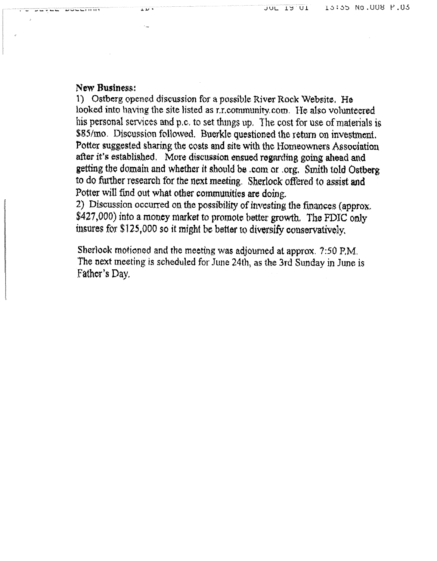# New Business:

1) Ostberg opened discussion for a possible River Rock Website. He looked into having the site listed as r.r.community.com. He also volunteered his personal services and p.c. to set things up. The cost for use of materials is \$85/mo. Discussion followed. Buerkle questioned the return on investment. Potter suggested sharing the costs and site with the Homeowners Association after it's established. More discussion ensued regarding going ahead and getting the domain and whether it should be .com or .org. Smith told Ostberg to do further research for the next meeting. Sherlock offered to assist and Potter will find out what other communities are doing.

2) Discussion occurred on the possibility of investing the finances (approx. \$427,000) into a money market to promote better growth. The FDIC only insures for \$125,000 so it might be better to diversify conservatively.

Sherlock motioned and the meeting was adjourned at approx. 7:50 P.M. The next meeting is scheduled for June 24th, as the 3rd Sunday in June is Father's Day.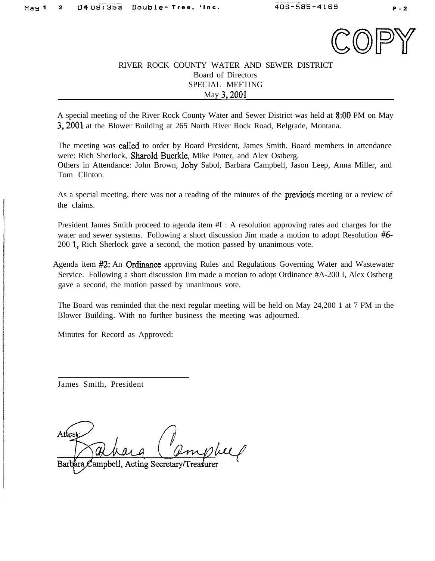

# RIVER ROCK COUNTY WATER AND SEWER DISTRICT Board of Directors SPECIAL MEETING May 3,200l

A special meeting of the River Rock County Water and Sewer District was held at 8:OO PM on May 3,2001 at the Blower Building at 265 North River Rock Road, Belgrade, Montana.

The meeting was catled to order by Board Prcsidcnt, James Smith. Board members in attendance were: Rich Sherlock, Sharold Buerkle, Mike Potter, and Alex Ostberg. Others in Attendance: John Brown, Joby Sabol, Barbara Campbell, Jason Leep, Anna Miller, and Tom Clinton.

As a special meeting, there was not a reading of the minutes of the **previous** meeting or a review of the claims.

President James Smith proceed to agenda item #I : A resolution approving rates and charges for the water and sewer systems. Following a short discussion Jim made a motion to adopt Resolution #6-200 1, Rich Sherlock gave a second, the motion passed by unanimous vote.

Agenda item #2: An Ordinance approving Rules and Regulations Governing Water and Wastewater Service. Following a short discussion Jim made a motion to adopt Ordinance #A-200 I, Alex Ostberg gave a second, the motion passed by unanimous vote.

The Board was reminded that the next regular meeting will be held on May 24,200 1 at 7 PM in the Blower Building. With no further business the meeting was adjourned.

Minutes for Record as Approved:

James Smith, President

Attes

Campbell, Acting Secretary/Treasurer Barb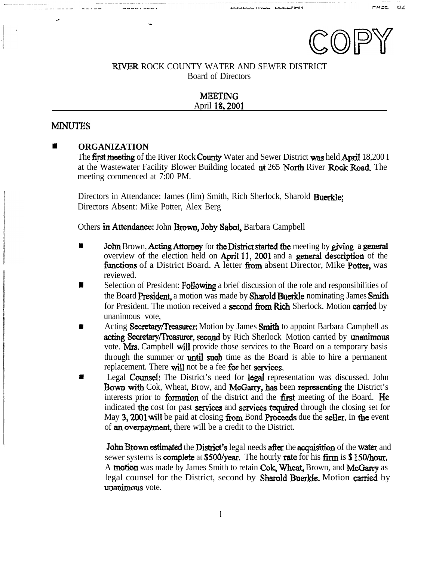

## RIVER ROCK COUNTY WATER AND SEWER DISTRICT Board of Directors

## MEETING April IS,2001

# **MINUTES**

. .

## $\blacksquare$  **ORGANIZATION**

.-

The first meeting of the River Rock County Water and Sewer District was held April 18,200 I at the Wastewater Facility Blower Building located at 265 North River Rock Road. The meeting commenced at 7:00 PM.

Directors in Attendance: James (Jim) Smith, Rich Sherlock, Sharold Buerkle; Directors Absent: Mike Potter, Alex Berg

Others in Attendance: John Brown, Joby Sabol, Barbara Campbell

- **If** John Brown, **Acting Attorney** for the District started the meeting by giving a general overview of the election held on April 11, 2001 and a general description of the functions of a District Board. A letter from absent Director, Mike Potter, was reviewed.
- I Selection of President: Following a brief discussion of the role and responsibilities of the Board President, a motion was made by Sharold Buerkle nominating James Smith Selection of Fresident. For owing a oner discussion of the fore and responsibilities of<br>the Board President, a motion was made by Sharold Buerkle nominating James Smith<br>for President. The motion received a second from Rich unanimous vote,
- Acting Secretary/Treasurer: Motion by James Smith to appoint Barbara Campbell as acting Secretary/Treasurer, second by Rich Sherlock Motion carried by unanimous vote. Mrs. Campbell will provide those services to the Board on a temporary basis through the summer or **until such** time as the Board is able to hire a permanent replacement. There will not be a fee for her services.
- Legal Counsel: The District's need for legal representation was discussed. John Bown with Cok, Wheat, Brow, and McGarry, has been representing the District's interests prior to **formation** of the district and the **first** meeting of the Board. He indicated the cost for past services and services required through the closing set for May 3, 2001 will be paid at closing from Bond Proceeds due the seller. In the event of an overpayment, there will be a credit to the District.

John Brown estimated the District's legal needs after the acquisition of the water and sewer systems is **complete** at \$500/year. The hourly rate for his firm is \$150/hour. A motion was made by James Smith to retain Cok, Wheat, Brown, and McGarry as legal counsel for the District, second by **Sharold Buerkle**. Motion **carried** by unanimous vote.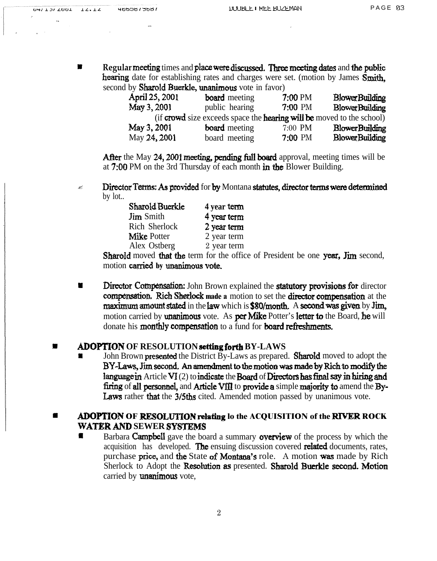**n Regular meeting** times and **place were discussed. Three meeting dates** and the public hearing date for establishing rates and charges were set. (motion by James  $\overline{\text{Smith}}$ , second by **Sharold Buerkle**, unanimous vote in favor)

| April 25, 2001                                                                      | <b>board</b> meeting | 7:00 PM | <b>BlowerBuilding</b> |  |  |
|-------------------------------------------------------------------------------------|----------------------|---------|-----------------------|--|--|
| May 3, 2001                                                                         | public hearing       | 7:00 PM | <b>BlowerBuilding</b> |  |  |
| (if <b>crowd</b> size exceeds space the <b>hearing will be</b> moved to the school) |                      |         |                       |  |  |
| May 3, 2001                                                                         | <b>board</b> meeting | 7:00 PM | <b>BlowerBuilding</b> |  |  |
| May 24, 2001                                                                        | board meeting        | 7:00 PM | <b>BlowerBuilding</b> |  |  |

After the May 24, 2001 meeting, pending full board approval, meeting times will be at  $7:00$  PM on the 3rd Thursday of each month in the Blower Building.

 $\approx$  Director Terms: As provided for by Montana statutes, director terms were determined by lot..

| Sharold Buerkle    | 4 year term |
|--------------------|-------------|
| <b>Jim</b> Smith   | 4 year term |
| Rich Sherlock      | 2 year term |
| <b>Mike Potter</b> | 2 year term |
| Alex Ostberg       | 2 year term |

Sharold moved that the term for the office of President be one year, Jim second, motion carried by unanimous vote.

**II** Director Compensation: John Brown explained the statutory provisions for director compensation. Rich Sherlock made a motion to set the director compensation at the maximum amount stated in the law which is  $$80/m$  onth. A second was given by Jim, motion carried by unanimous vote. As per Mike Potter's letter to the Board, he will donate his monthly compensation to a fund for board refreshments.

## **ADOPTION OF RESOLUTION setting forth BY-LAWS**

John Brown **presented** the District By-Laws as prepared. **Sharold** moved to adopt the BY-Laws, Jim second. An amendment to the motion was made by Rich to modify the language in Article VI (2) to indicate the Board of Directors has final say in hiring and firing of all personnel, and Article VIII to provide a simple majority to amend the By-Laws rather that the 3/5ths cited. Amended motion passed by unanimous vote.

# **II ADOPTION OF RESOLUTION relating lo the ACQUISITION of the RIVER ROCK WATER AND SEWER SYSTEMS**

**I** Barbara **Campbell** gave the board a summary **overview** of the process by which the acquisition has developed. The ensuing discussion covered related documents, rates, purchase price, and the State of Montana's role. A motion was made by Rich Sherlock to Adopt the Resolution as presented. Sharold Buerkle second. Motion carried by **unanimous** vote,